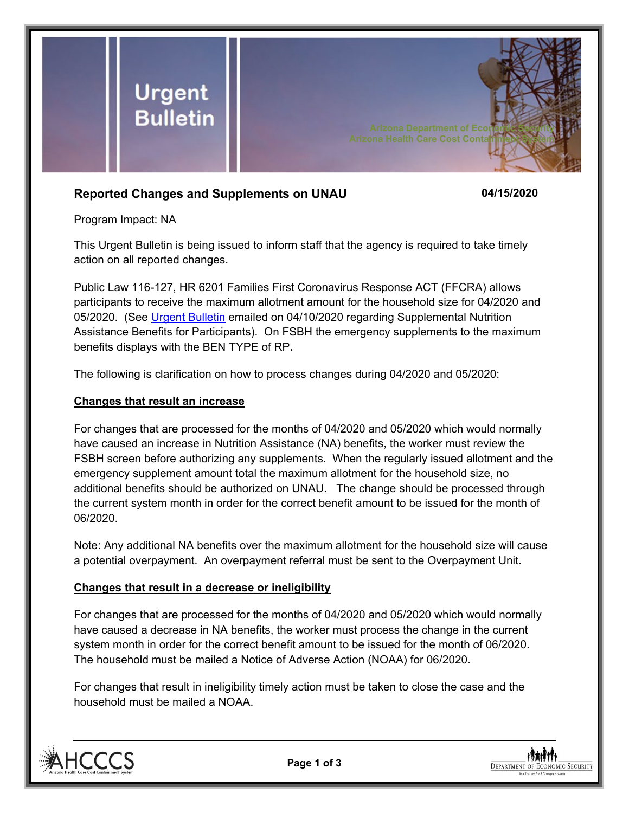

## **Reported Changes and Supplements on UNAU 04/15/2020**

Program Impact: NA

This Urgent Bulletin is being issued to inform staff that the agency is required to take timely action on all reported changes.

Public Law 116-127, HR 6201 Families First Coronavirus Response ACT (FFCRA) allows participants to receive the maximum allotment amount for the household size for 04/2020 and 05/2020. (See [Urgent Bulletin](https://dbmefaapolicy.azdes.gov/FAA5/baggage/Urgent%20Bulletin%20(04-10-2020)%20-%20Supplemental%20Nutrition%20Assistance%20Benefits%20for%20Participants.pdf) emailed on 04/10/2020 regarding Supplemental Nutrition Assistance Benefits for Participants). On FSBH the emergency supplements to the maximum benefits displays with the BEN TYPE of RP**.** 

The following is clarification on how to process changes during 04/2020 and 05/2020:

## **Changes that result an increase**

For changes that are processed for the months of 04/2020 and 05/2020 which would normally have caused an increase in Nutrition Assistance (NA) benefits, the worker must review the FSBH screen before authorizing any supplements. When the regularly issued allotment and the emergency supplement amount total the maximum allotment for the household size, no additional benefits should be authorized on UNAU. The change should be processed through the current system month in order for the correct benefit amount to be issued for the month of 06/2020.

Note: Any additional NA benefits over the maximum allotment for the household size will cause a potential overpayment. An overpayment referral must be sent to the Overpayment Unit.

## **Changes that result in a decrease or ineligibility**

For changes that are processed for the months of 04/2020 and 05/2020 which would normally have caused a decrease in NA benefits, the worker must process the change in the current system month in order for the correct benefit amount to be issued for the month of 06/2020. The household must be mailed a Notice of Adverse Action (NOAA) for 06/2020.

For changes that result in ineligibility timely action must be taken to close the case and the household must be mailed a NOAA.





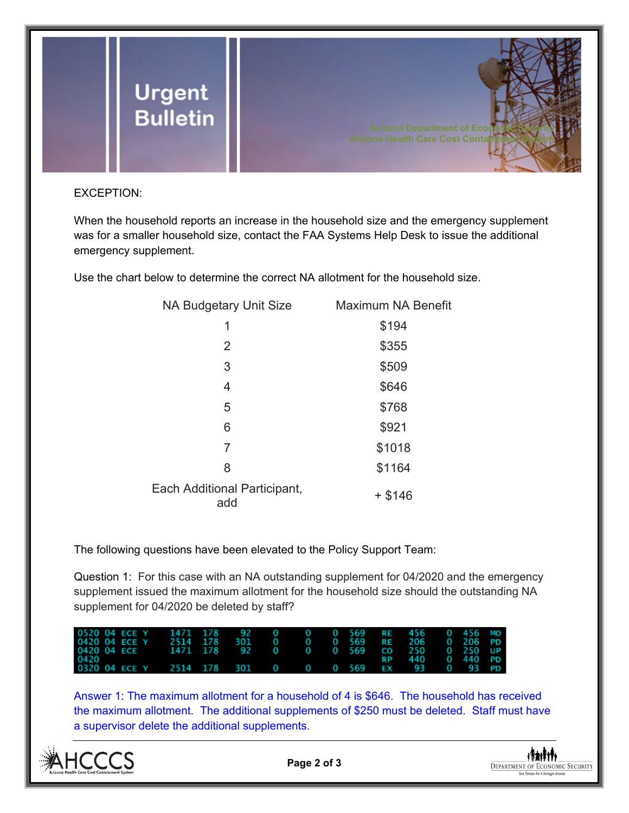

## EXCEPTION:

When the household reports an increase in the household size and the emergency supplement was for a smaller household size, contact the FAA Systems Help Desk to issue the additional emergency supplement.

Use the chart below to determine the correct NA allotment for the household size.

| NA Budgetary Unit Size              | <b>Maximum NA Benefit</b> |
|-------------------------------------|---------------------------|
| 1                                   | \$194                     |
| 2                                   | \$355                     |
| 3                                   | \$509                     |
| 4                                   | \$646                     |
| 5                                   | \$768                     |
| 6                                   | \$921                     |
| 7                                   | \$1018                    |
| 8                                   | \$1164                    |
| Each Additional Participant,<br>add | $+$ \$146                 |

The following questions have been elevated to the Policy Support Team:

Question 1: For this case with an NA outstanding supplement for 04/2020 and the emergency supplement issued the maximum allotment for the household size should the outstanding NA supplement for 04/2020 be deleted by staff?

| 0520 04 ECE Y | 1471 178     | $-92$              | -0 | 0 569 RE 456 |           |       |    | 0 456 MO |           |
|---------------|--------------|--------------------|----|--------------|-----------|-------|----|----------|-----------|
| 0420 04 ECE Y | 2514 178     | 301                |    | 0 569        | R E       | -206  |    | 0 206 PD |           |
| 0420 04 ECE   | 1471 178     | $\blacksquare$ 92. | 0  | 0 569        | CO.       | - 250 |    | 0 250 UP |           |
| 0420          |              |                    |    |              |           | 440   |    | 0 440 PD |           |
| 0320 04 ECE Y | 2514 178 301 |                    | 0  | 0 569        | <b>EX</b> | - 93  | -0 | - 93     | <b>PD</b> |

Answer 1: The maximum allotment for a household of 4 is \$646. The household has received the maximum allotment. The additional supplements of \$250 must be deleted. Staff must have a supervisor delete the additional supplements.



**Page 2 of 3**